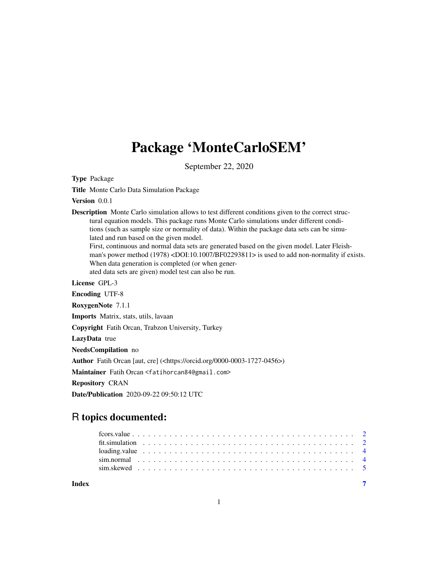# Package 'MonteCarloSEM'

September 22, 2020

Type Package

Title Monte Carlo Data Simulation Package

Version 0.0.1

Description Monte Carlo simulation allows to test different conditions given to the correct structural equation models. This package runs Monte Carlo simulations under different conditions (such as sample size or normality of data). Within the package data sets can be simulated and run based on the given model.

First, continuous and normal data sets are generated based on the given model. Later Fleishman's power method (1978) <DOI:10.1007/BF02293811> is used to add non-normality if exists. When data generation is completed (or when gener-

ated data sets are given) model test can also be run.

License GPL-3

Encoding UTF-8

RoxygenNote 7.1.1

Imports Matrix, stats, utils, lavaan

Copyright Fatih Orcan, Trabzon University, Turkey

LazyData true

NeedsCompilation no

Author Fatih Orcan [aut, cre] (<https://orcid.org/0000-0003-1727-0456>)

Maintainer Fatih Orcan <fatihorcan84@gmail.com>

Repository CRAN

Date/Publication 2020-09-22 09:50:12 UTC

# R topics documented:

| Index |  |  |  |  |  |  |  |  |  |  |  |  |  |  |  |  |  |  |  |  |
|-------|--|--|--|--|--|--|--|--|--|--|--|--|--|--|--|--|--|--|--|--|
|       |  |  |  |  |  |  |  |  |  |  |  |  |  |  |  |  |  |  |  |  |
|       |  |  |  |  |  |  |  |  |  |  |  |  |  |  |  |  |  |  |  |  |
|       |  |  |  |  |  |  |  |  |  |  |  |  |  |  |  |  |  |  |  |  |
|       |  |  |  |  |  |  |  |  |  |  |  |  |  |  |  |  |  |  |  |  |
|       |  |  |  |  |  |  |  |  |  |  |  |  |  |  |  |  |  |  |  |  |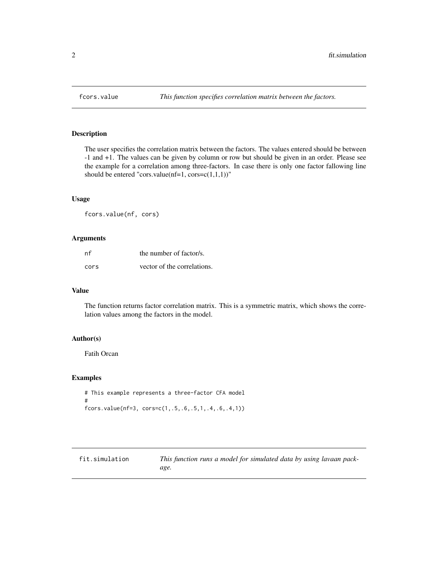<span id="page-1-0"></span>

# Description

The user specifies the correlation matrix between the factors. The values entered should be between -1 and +1. The values can be given by column or row but should be given in an order. Please see the example for a correlation among three-factors. In case there is only one factor fallowing line should be entered "cors.value(nf=1, cors= $c(1,1,1)$ )"

#### Usage

fcors.value(nf, cors)

# Arguments

| nf   | the number of factor/s.     |
|------|-----------------------------|
| cors | vector of the correlations. |

# Value

The function returns factor correlation matrix. This is a symmetric matrix, which shows the correlation values among the factors in the model.

# Author(s)

Fatih Orcan

# Examples

```
# This example represents a three-factor CFA model
#
fcors.value(nf=3, cors=c(1,.5,.6,.5,1,.4,.6,.4,1))
```
fit.simulation *This function runs a model for simulated data by using lavaan package.*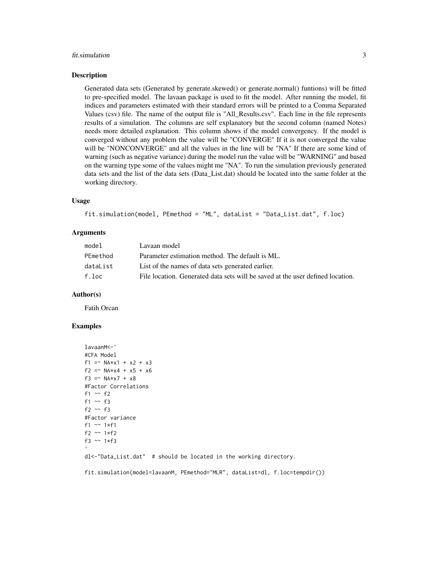#### fit.simulation 3

#### Description

Generated data sets (Generated by generate.skewed() or generate.normal() funtions) will be fitted to pre-specified model. The lavaan package is used to fit the model. After running the model, fit indices and parameters estimated with their standard errors will be printed to a Comma Separated Values (csv) file. The name of the output file is "All\_Results.csv". Each line in the file represents results of a simulation. The columns are self explanatory but the second column (named Notes) needs more detailed explanation. This column shows if the model convergency. If the model is converged without any problem the value will be "CONVERGE" If it is not converged the value will be "NONCONVERGE" and all the values in the line will be "NA" If there are some kind of warning (such as negative variance) during the model run the value will be "WARNING" and based on the warning type some of the values might me "NA". To run the simulation previously generated data sets and the list of the data sets (Data\_List.dat) should be located into the same folder at the working directory.

# Usage

```
fit.simulation(model, PEmethod = "ML", dataList = "Data_List.dat", f.loc)
```
# Arguments

| model    | Lavaan model                                                                   |
|----------|--------------------------------------------------------------------------------|
| PEmethod | Parameter estimation method. The default is ML.                                |
| dataList | List of the names of data sets generated earlier.                              |
| f.loc    | File location. Generated data sets will be saved at the user defined location. |

# Author(s)

Fatih Orcan

# Examples

```
lavaanM<-'
#CFA Model
f1 = NAxx1 + x2 + x3f2 =~ NA*x4 + x5 + x6
f3 = NAX7 + X8#Factor Correlations
f1 \sim f2
f1 \sim f3
f2 ~\sim f3
#Factor variance
f1 ~~ 1*f1
f2 ~~ 1*f2
f3 ~~ 1*f3
```
dl<-"Data\_List.dat" # should be located in the working directory.

fit.simulation(model=lavaanM, PEmethod="MLR", dataList=dl, f.loc=tempdir())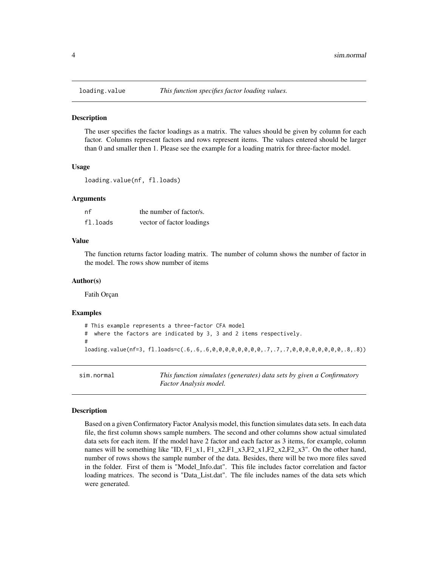<span id="page-3-0"></span>

# Description

The user specifies the factor loadings as a matrix. The values should be given by column for each factor. Columns represent factors and rows represent items. The values entered should be larger than 0 and smaller then 1. Please see the example for a loading matrix for three-factor model.

#### Usage

loading.value(nf, fl.loads)

#### Arguments

| nf       | the number of factor/s.   |
|----------|---------------------------|
| fl.loads | vector of factor loadings |

# Value

The function returns factor loading matrix. The number of column shows the number of factor in the model. The rows show number of items

# Author(s)

Fatih Orçan

#### Examples

```
# This example represents a three-factor CFA model
# where the factors are indicated by 3, 3 and 2 items respectively.
#
loading.value(nf=3, fl.loads=c(.6,.6,.6,0,0,0,0,0,0,0,0,.7,.7,.7,0,0,0,0,0,0,0,0,.8,.8))
```
sim.normal *This function simulates (generates) data sets by given a Confirmatory Factor Analysis model.*

#### Description

Based on a given Confirmatory Factor Analysis model, this function simulates data sets. In each data file, the first column shows sample numbers. The second and other columns show actual simulated data sets for each item. If the model have 2 factor and each factor as 3 items, for example, column names will be something like "ID,  $F1_x1$ ,  $F1_x2$ ,  $F1_x3$ ,  $F2_x1$ ,  $F2_x2$ ,  $F2_x3$ ". On the other hand, number of rows shows the sample number of the data. Besides, there will be two more files saved in the folder. First of them is "Model\_Info.dat". This file includes factor correlation and factor loading matrices. The second is "Data\_List.dat". The file includes names of the data sets which were generated.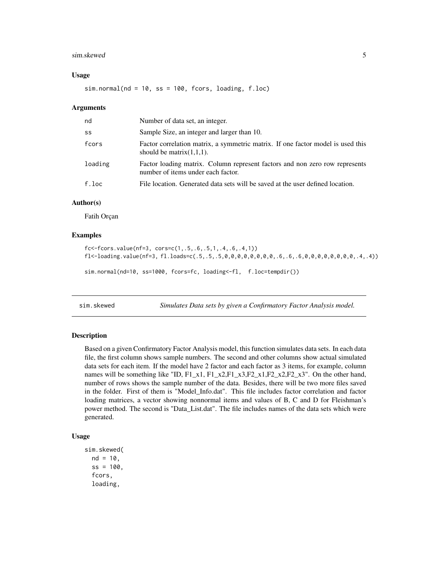#### <span id="page-4-0"></span>sim.skewed 5

#### Usage

 $sim.normal(nd = 10, ss = 100, focus, loading, f.loc)$ 

#### Arguments

| nd      | Number of data set, an integer.                                                                                   |
|---------|-------------------------------------------------------------------------------------------------------------------|
| SS      | Sample Size, an integer and larger than 10.                                                                       |
| fcors   | Factor correlation matrix, a symmetric matrix. If one factor model is used this<br>should be matrix $(1,1,1)$ .   |
| loading | Factor loading matrix. Column represent factors and non zero row represents<br>number of items under each factor. |
| f.loc   | File location. Generated data sets will be saved at the user defined location.                                    |

# Author(s)

Fatih Orçan

# Examples

```
fc<-fcors.value(nf=3, cors=c(1,.5,.6,.5,1,.4,.6,.4,1))
fl<-loading.value(nf=3, fl.loads=c(.5,.5,.5,0,0,0,0,0,0,0,0,.6,.6,.6,0,0,0,0,0,0,0,0,.4,.4))
```

```
sim.normal(nd=10, ss=1000, fcors=fc, loading<-fl, f.loc=tempdir())
```
sim.skewed *Simulates Data sets by given a Confirmatory Factor Analysis model.*

#### Description

Based on a given Confirmatory Factor Analysis model, this function simulates data sets. In each data file, the first column shows sample numbers. The second and other columns show actual simulated data sets for each item. If the model have 2 factor and each factor as 3 items, for example, column names will be something like "ID,  $F1_x1, F1_x2, F1_x3, F2_x1, F2_x2, F2_x3$ ". On the other hand, number of rows shows the sample number of the data. Besides, there will be two more files saved in the folder. First of them is "Model\_Info.dat". This file includes factor correlation and factor loading matrices, a vector showing nonnormal items and values of B, C and D for Fleishman's power method. The second is "Data\_List.dat". The file includes names of the data sets which were generated.

# Usage

```
sim.skewed(
 nd = 10.
  ss = 100,
  fcors,
  loading,
```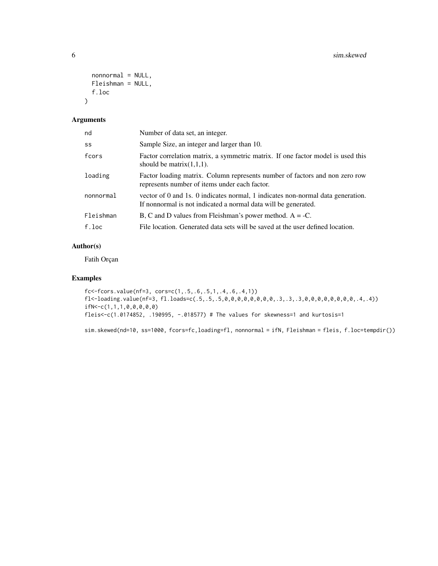```
nonnormal = NULL,Fleishman = NULL,
  f.loc
\mathcal{L}
```
# Arguments

| nd        | Number of data set, an integer.                                                                                                                   |
|-----------|---------------------------------------------------------------------------------------------------------------------------------------------------|
| SS        | Sample Size, an integer and larger than 10.                                                                                                       |
| fcors     | Factor correlation matrix, a symmetric matrix. If one factor model is used this<br>should be matrix $(1,1,1)$ .                                   |
| loading   | Factor loading matrix. Column represents number of factors and non zero row<br>represents number of items under each factor.                      |
| nonnormal | vector of 0 and 1s. 0 indicates normal, 1 indicates non-normal data generation.<br>If nonnormal is not indicated a normal data will be generated. |
| Fleishman | B, C and D values from Fleishman's power method. $A = -C$ .                                                                                       |
| f.loc     | File location. Generated data sets will be saved at the user defined location.                                                                    |

# Author(s)

Fatih Orçan

# Examples

```
fc<-fcors.value(nf=3, cors=c(1,.5,.6,.5,1,.4,.6,.4,1))
fl<-loading.value(nf=3, fl.loads=c(.5,.5,.5,0,0,0,0,0,0,0,0,.3,.3,.3,0,0,0,0,0,0,0,0,.4,.4))
ifN<-c(1,1,1,0,0,0,0,0)
fleis<-c(1.0174852, .190995, -.018577) # The values for skewness=1 and kurtosis=1
```
sim.skewed(nd=10, ss=1000, fcors=fc,loading=fl, nonnormal = ifN, Fleishman = fleis, f.loc=tempdir())